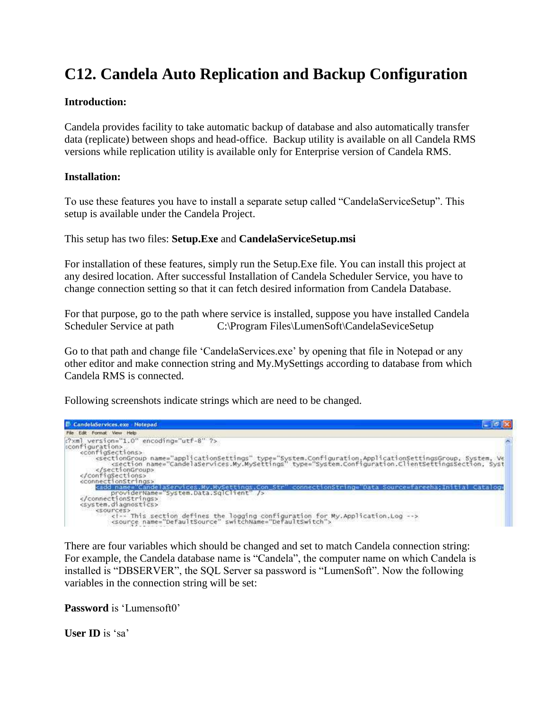# **C12. Candela Auto Replication and Backup Configuration**

## **Introduction:**

Candela provides facility to take automatic backup of database and also automatically transfer data (replicate) between shops and head-office. Backup utility is available on all Candela RMS versions while replication utility is available only for Enterprise version of Candela RMS.

## **Installation:**

To use these features you have to install a separate setup called "CandelaServiceSetup". This setup is available under the Candela Project.

This setup has two files: **Setup.Exe** and **CandelaServiceSetup.msi**

For installation of these features, simply run the Setup.Exe file. You can install this project at any desired location. After successful Installation of Candela Scheduler Service, you have to change connection setting so that it can fetch desired information from Candela Database.

For that purpose, go to the path where service is installed, suppose you have installed Candela Scheduler Service at path C:\Program Files\LumenSoft\CandelaSeviceSetup

Go to that path and change file "CandelaServices.exe" by opening that file in Notepad or any other editor and make connection string and My.MySettings according to database from which Candela RMS is connected.

Following screenshots indicate strings which are need to be changed.



There are four variables which should be changed and set to match Candela connection string: For example, the Candela database name is "Candela", the computer name on which Candela is installed is "DBSERVER", the SQL Server sa password is "LumenSoft". Now the following variables in the connection string will be set:

**Password** is 'Lumensoft0'

**User ID** is 'sa'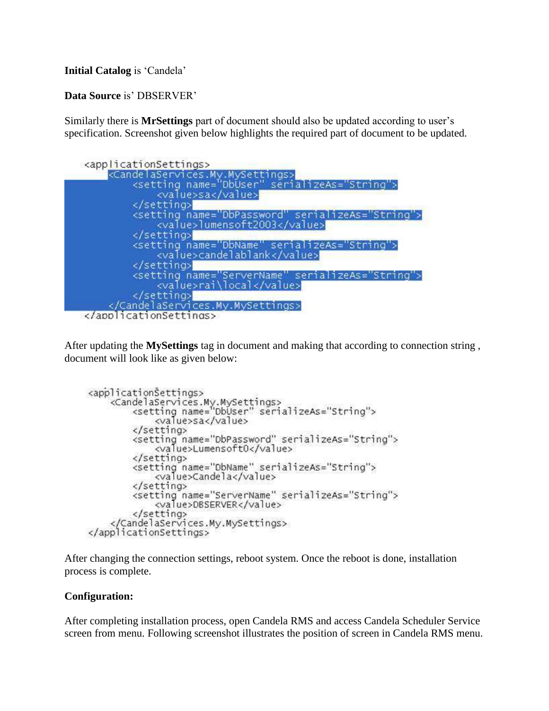# **Initial Catalog** is 'Candela'

# Data Source is' DBSERVER'

Similarly there is **MrSettings** part of document should also be updated according to user"s specification. Screenshot given below highlights the required part of document to be updated.



After updating the **MySettings** tag in document and making that according to connection string, document will look like as given below:

```
<applicationSettings>
    <CandelaServices.My.MySettings><br><csetting name="DbUser" serializeAs="String">
             <value>sa</value>
         </setting>
         <setting name="DbPassword" serializeAs="String">
             <value>Lumensoft0</value>
         </setting>
         <setting name="DbName" serializeAs="String">
             <value>Candela</value>
         </setting>
         <setting name="ServerName" serializeAs="String">
             <value>DBSERVER</value>
         </setting>
    </CandelaServices.My.MySettings>
</applicationSettings>
```
After changing the connection settings, reboot system. Once the reboot is done, installation process is complete.

#### **Configuration:**

After completing installation process, open Candela RMS and access Candela Scheduler Service screen from menu. Following screenshot illustrates the position of screen in Candela RMS menu.